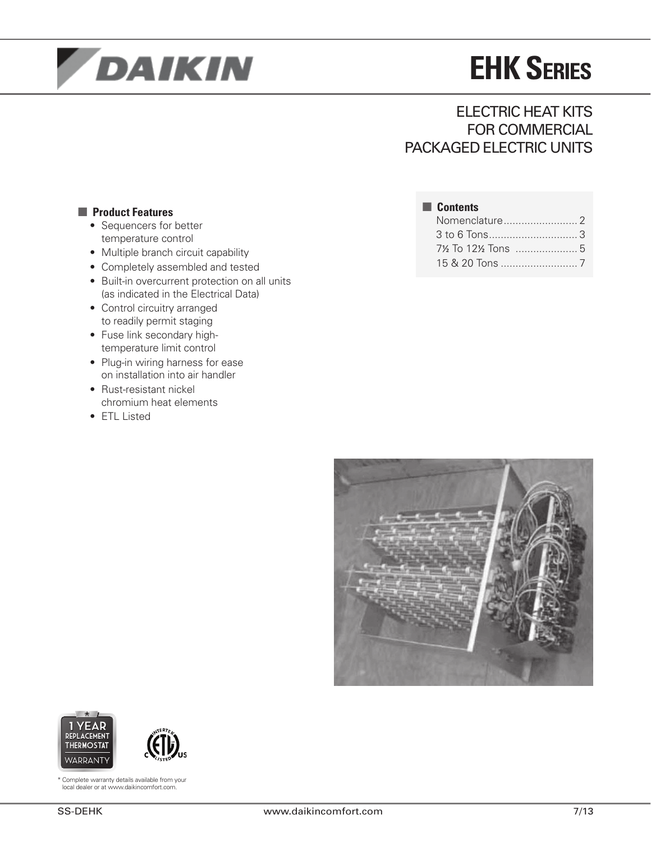

# **EHK Series**

## Electric Heat Kits for Commercial PACKAGED ELECTRIC UNITS

Nomenclature......................... 2 to 6 Tons.............................. 3 ½ To 12½ Tons ..................... 5 & 20 Tons .......................... 7

■ **Contents**

### ■ **Product Features**

- Sequencers for better temperature control
- Multiple branch circuit capability
- • Completely assembled and tested
- Built-in overcurrent protection on all units (as indicated in the Electrical Data)
- Control circuitry arranged to readily permit staging
- Fuse link secondary hightemperature limit control
- Plug-in wiring harness for ease on installation into air handler
- Rust-resistant nickel chromium heat elements
- ETL Listed







\* Complete warranty details available from your local dealer or at www.daikincomfort.com.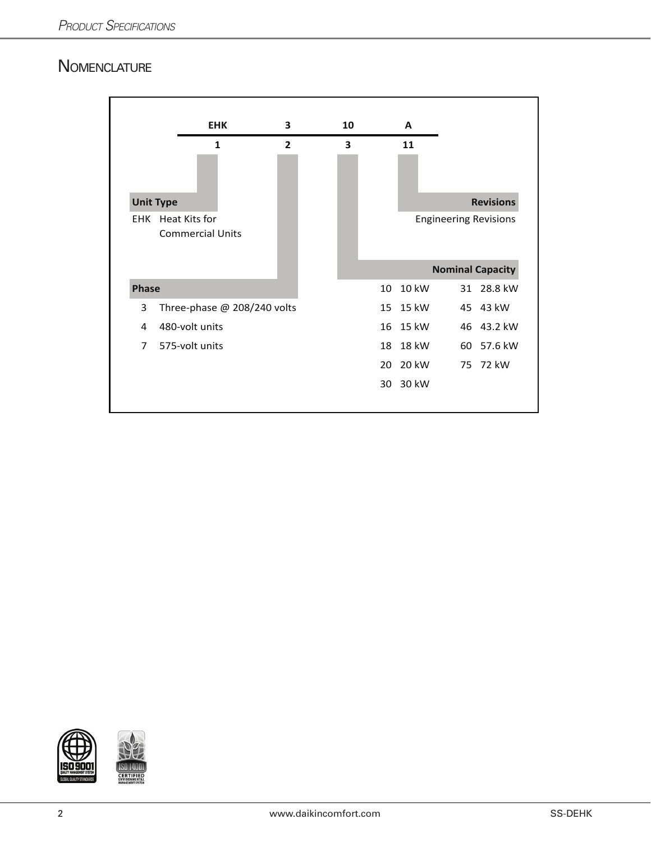## **NOMENCLATURE**

|              | <b>EHK</b>                  | 3              | 10                      |    | A     |    |                              |
|--------------|-----------------------------|----------------|-------------------------|----|-------|----|------------------------------|
|              | 1                           | $\overline{2}$ | $\overline{\mathbf{3}}$ |    | 11    |    |                              |
|              |                             |                |                         |    |       |    |                              |
|              | <b>Unit Type</b>            |                |                         |    |       |    | <b>Revisions</b>             |
| <b>EHK</b>   | Heat Kits for               |                |                         |    |       |    | <b>Engineering Revisions</b> |
|              | <b>Commercial Units</b>     |                |                         |    |       |    |                              |
|              |                             |                |                         |    |       |    | <b>Nominal Capacity</b>      |
| <b>Phase</b> |                             |                |                         | 10 | 10 kW | 31 | 28.8 kW                      |
| 3            | Three-phase @ 208/240 volts |                |                         | 15 | 15 kW |    | 45 43 kW                     |
| 4            | 480-volt units              |                |                         | 16 | 15 kW |    | 46 43.2 kW                   |
| 7            | 575-volt units              |                |                         | 18 | 18 kW |    | 60 57.6 kW                   |
|              |                             |                |                         | 20 | 20 kW |    | 75 72 kW                     |
|              |                             |                |                         | 30 | 30 kW |    |                              |
|              |                             |                |                         |    |       |    |                              |

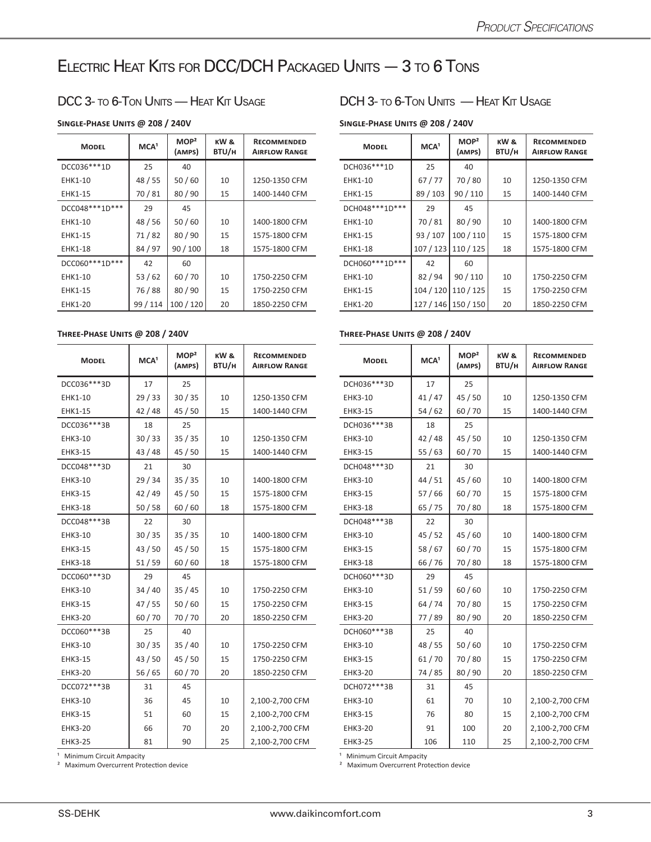## Electric Heat Kits for DCC/DCH Packaged Units — 3 to 6 Tons

### **Single-Phase Units @ 208 / 240V Single-Phase Units @ 208 / 240V**

| <b>MODEL</b>      | MCA <sup>1</sup> | MOP <sup>2</sup><br>(AMPS) | KW&<br>BTU/H | <b>RECOMMENDED</b><br><b>AIRFLOW RANGE</b> | <b>MODEL</b>      | MCA <sup>1</sup> | MOP <sup>2</sup><br>(AMPS) | KW &<br>BTU/H | <b>RECOMMENDED</b><br><b>AIRFLOW RANGE</b> |
|-------------------|------------------|----------------------------|--------------|--------------------------------------------|-------------------|------------------|----------------------------|---------------|--------------------------------------------|
| DCC036 *** 1D     | 25               | 40                         |              |                                            | DCH036 *** 1D     | 25               | 40                         |               |                                            |
| <b>EHK1-10</b>    | 48 / 55          | 50/60                      | 10           | 1250-1350 CFM                              | <b>EHK1-10</b>    | 67/77            | 70/80                      | 10            | 1250-1350 CFM                              |
| <b>EHK1-15</b>    | 70/81            | 80/90                      | 15           | 1400-1440 CFM                              | EHK1-15           | 89 / 103         | 90/110                     | 15            | 1400-1440 CFM                              |
| DCC048 *** 1D *** | 29               | 45                         |              |                                            | DCH048 *** 1D *** | 29               | 45                         |               |                                            |
| <b>EHK1-10</b>    | 48/56            | 50/60                      | 10           | 1400-1800 CFM                              | EHK1-10           | 70/81            | 80/90                      | 10            | 1400-1800 CFM                              |
| EHK1-15           | 71/82            | 80/90                      | 15           | 1575-1800 CFM                              | <b>EHK1-15</b>    | 93 / 107         | 100/110                    | 15            | 1575-1800 CFM                              |
| <b>EHK1-18</b>    | 84 / 97          | 90/100                     | 18           | 1575-1800 CFM                              | <b>EHK1-18</b>    |                  | 107 / 123   110 / 125      | 18            | 1575-1800 CFM                              |
| DCC060***1D***    | 42               | 60                         |              |                                            | DCH060***1D***    | 42               | 60                         |               |                                            |
| EHK1-10           | 53/62            | 60/70                      | 10           | 1750-2250 CFM                              | EHK1-10           | 82/94            | 90/110                     | 10            | 1750-2250 CFM                              |
| <b>EHK1-15</b>    | 76/88            | 80/90                      | 15           | 1750-2250 CFM                              | <b>EHK1-15</b>    |                  | 104 / 120   110 / 125      | 15            | 1750-2250 CFM                              |
| <b>EHK1-20</b>    | 99 / 114         | 100/120                    | 20           | 1850-2250 CFM                              | <b>EHK1-20</b>    |                  | 127 / 146   150 / 150      | 20            | 1850-2250 CFM                              |

| <b>MODEL</b>   | MCA <sup>1</sup> | MOP <sup>2</sup><br>(AMPS) | KW&<br>BTU/H | <b>RECOMMENDED</b><br><b>AIRFLOW RANGE</b> | <b>MODEL</b>   | MCA <sup>1</sup> | MOP <sup>2</sup><br>(AMPS) | KW&<br>BTU/H | <b>RECOMMENDED</b><br><b>AIRFLOW RANGE</b> |
|----------------|------------------|----------------------------|--------------|--------------------------------------------|----------------|------------------|----------------------------|--------------|--------------------------------------------|
| DCC036 *** 3D  | 17               | 25                         |              |                                            | DCH036 *** 3D  | 17               | 25                         |              |                                            |
| EHK1-10        | 29/33            | 30/35                      | 10           | 1250-1350 CFM                              | EHK3-10        | 41/47            | 45/50                      | 10           | 1250-1350 CFM                              |
| EHK1-15        | 42/48            | 45/50                      | 15           | 1400-1440 CFM                              | <b>EHK3-15</b> | 54/62            | 60/70                      | 15           | 1400-1440 CFM                              |
| DCC036***3B    | 18               | 25                         |              |                                            | DCH036***3B    | 18               | 25                         |              |                                            |
| EHK3-10        | 30/33            | 35/35                      | 10           | 1250-1350 CFM                              | <b>EHK3-10</b> | 42/48            | 45 / 50                    | 10           | 1250-1350 CFM                              |
| EHK3-15        | 43/48            | 45/50                      | 15           | 1400-1440 CFM                              | EHK3-15        | 55/63            | 60/70                      | 15           | 1400-1440 CFM                              |
| DCC048 *** 3D  | 21               | 30                         |              |                                            | DCH048 *** 3D  | 21               | 30                         |              |                                            |
| EHK3-10        | 29/34            | 35/35                      | 10           | 1400-1800 CFM                              | EHK3-10        | 44/51            | 45/60                      | 10           | 1400-1800 CFM                              |
| <b>EHK3-15</b> | 42/49            | 45 / 50                    | 15           | 1575-1800 CFM                              | <b>EHK3-15</b> | 57/66            | 60/70                      | 15           | 1575-1800 CFM                              |
| <b>EHK3-18</b> | 50/58            | 60/60                      | 18           | 1575-1800 CFM                              | <b>EHK3-18</b> | 65/75            | 70/80                      | 18           | 1575-1800 CFM                              |
| DCC048 *** 3B  | 22               | 30                         |              |                                            | DCH048***3B    | 22               | 30                         |              |                                            |
| EHK3-10        | 30/35            | 35/35                      | 10           | 1400-1800 CFM                              | EHK3-10        | 45/52            | 45/60                      | 10           | 1400-1800 CFM                              |
| <b>EHK3-15</b> | 43/50            | 45/50                      | 15           | 1575-1800 CFM                              | <b>EHK3-15</b> | 58/67            | 60/70                      | 15           | 1575-1800 CFM                              |
| <b>EHK3-18</b> | 51/59            | 60/60                      | 18           | 1575-1800 CFM                              | <b>EHK3-18</b> | 66/76            | 70/80                      | 18           | 1575-1800 CFM                              |
| DCC060***3D    | 29               | 45                         |              |                                            | DCH060***3D    | 29               | 45                         |              |                                            |
| EHK3-10        | 34/40            | 35/45                      | 10           | 1750-2250 CFM                              | EHK3-10        | 51/59            | 60/60                      | 10           | 1750-2250 CFM                              |
| <b>EHK3-15</b> | 47/55            | 50/60                      | 15           | 1750-2250 CFM                              | <b>EHK3-15</b> | 64 / 74          | 70/80                      | 15           | 1750-2250 CFM                              |
| <b>EHK3-20</b> | 60/70            | 70/70                      | 20           | 1850-2250 CFM                              | <b>EHK3-20</b> | 77/89            | 80/90                      | 20           | 1850-2250 CFM                              |
| DCC060***3B    | 25               | 40                         |              |                                            | DCH060***3B    | 25               | 40                         |              |                                            |
| EHK3-10        | 30/35            | 35/40                      | 10           | 1750-2250 CFM                              | <b>EHK3-10</b> | 48/55            | 50/60                      | 10           | 1750-2250 CFM                              |
| <b>EHK3-15</b> | 43/50            | 45/50                      | 15           | 1750-2250 CFM                              | <b>EHK3-15</b> | 61/70            | 70/80                      | 15           | 1750-2250 CFM                              |
| <b>EHK3-20</b> | 56/65            | 60/70                      | 20           | 1850-2250 CFM                              | <b>EHK3-20</b> | 74 / 85          | 80/90                      | 20           | 1850-2250 CFM                              |
| DCC072 *** 3B  | 31               | 45                         |              |                                            | DCH072 *** 3B  | 31               | 45                         |              |                                            |
| EHK3-10        | 36               | 45                         | 10           | 2,100-2,700 CFM                            | EHK3-10        | 61               | 70                         | 10           | 2,100-2,700 CFM                            |
| EHK3-15        | 51               | 60                         | 15           | 2,100-2,700 CFM                            | <b>EHK3-15</b> | 76               | 80                         | 15           | 2,100-2,700 CFM                            |
| <b>EHK3-20</b> | 66               | 70                         | 20           | 2,100-2,700 CFM                            | <b>EHK3-20</b> | 91               | 100                        | 20           | 2,100-2,700 CFM                            |
| <b>EHK3-25</b> | 81               | 90                         | 25           | 2,100-2,700 CFM                            | <b>EHK3-25</b> | 106              | 110                        | 25           | 2,100-2,700 CFM                            |

### DCC 3- TO 6-TON UNITS — HEAT KIT USAGE DCH 3- TO 6-TON UNITS — HEAT KIT USAGE

| <b>RECOMMENDED</b><br><b>AIRFLOW RANGE</b> | <b>MODEL</b>      | MCA <sup>1</sup> | MOP <sup>2</sup><br>(AMPS) | KW &<br>BTU/H | <b>RECOMMENDED</b><br><b>AIRFLOW RANGE</b> |
|--------------------------------------------|-------------------|------------------|----------------------------|---------------|--------------------------------------------|
|                                            | DCH036***1D       | 25               | 40                         |               |                                            |
| 1250-1350 CFM                              | EHK1-10           | 67/77            | 70/80                      | 10            | 1250-1350 CFM                              |
| 1400-1440 CFM                              | <b>EHK1-15</b>    | 89 / 103         | 90/110                     | 15            | 1400-1440 CFM                              |
|                                            | DCH048 *** 1D *** | 29               | 45                         |               |                                            |
| 1400-1800 CFM                              | EHK1-10           | 70/81            | 80/90                      | 10            | 1400-1800 CFM                              |
| 1575-1800 CFM                              | <b>EHK1-15</b>    | 93 / 107         | 100 / 110                  | 15            | 1575-1800 CFM                              |
| 1575-1800 CFM                              | <b>EHK1-18</b>    | 107/123          | 110 / 125                  | 18            | 1575-1800 CFM                              |
|                                            | DCH060 *** 1D***  | 42               | 60                         |               |                                            |
| 1750-2250 CFM                              | <b>EHK1-10</b>    | 82/94            | 90/110                     | 10            | 1750-2250 CFM                              |
| 1750-2250 CFM                              | <b>EHK1-15</b>    | 104 / 120        | 110/125                    | 15            | 1750-2250 CFM                              |
| 1850-2250 CFM                              | <b>EHK1-20</b>    | 127/146          | 150 / 150                  | 20            | 1850-2250 CFM                              |

### **Three-Phase Units @ 208 / 240V Three-Phase Units @ 208 / 240V**

| <b>RECOMMENDED</b><br>AIRFLOW RANGE | <b>MODEL</b>   | MCA <sup>1</sup> | MOP <sup>2</sup><br>(AMPS) | KW&<br>BTU/H | <b>RECOMMENDED</b><br><b>AIRFLOW RANGE</b> |
|-------------------------------------|----------------|------------------|----------------------------|--------------|--------------------------------------------|
|                                     | DCH036 *** 3D  | 17               | 25                         |              |                                            |
| 1250-1350 CFM                       | <b>EHK3-10</b> | 41/47            | 45 / 50                    | 10           | 1250-1350 CFM                              |
| 1400-1440 CFM                       | <b>EHK3-15</b> | 54/62            | 60/70                      | 15           | 1400-1440 CFM                              |
|                                     | DCH036***3B    | 18               | 25                         |              |                                            |
| 1250-1350 CFM                       | <b>EHK3-10</b> | 42/48            | 45 / 50                    | 10           | 1250-1350 CFM                              |
| 1400-1440 CFM                       | <b>EHK3-15</b> | 55/63            | 60/70                      | 15           | 1400-1440 CFM                              |
|                                     | DCH048 *** 3D  | 21               | 30                         |              |                                            |
| 1400-1800 CFM                       | <b>EHK3-10</b> | 44/51            | 45/60                      | 10           | 1400-1800 CFM                              |
| 1575-1800 CFM                       | <b>EHK3-15</b> | 57/66            | 60/70                      | 15           | 1575-1800 CFM                              |
| 1575-1800 CFM                       | <b>EHK3-18</b> | 65/75            | 70/80                      | 18           | 1575-1800 CFM                              |
|                                     | DCH048***3B    | 22               | 30                         |              |                                            |
| 1400-1800 CFM                       | <b>EHK3-10</b> | 45/52            | 45 / 60                    | 10           | 1400-1800 CFM                              |
| 1575-1800 CFM                       | <b>EHK3-15</b> | 58/67            | 60/70                      | 15           | 1575-1800 CFM                              |
| 1575-1800 CFM                       | EHK3-18        | 66/76            | 70/80                      | 18           | 1575-1800 CFM                              |
|                                     | DCH060***3D    | 29               | 45                         |              |                                            |
| 1750-2250 CFM                       | <b>EHK3-10</b> | 51/59            | 60/60                      | 10           | 1750-2250 CFM                              |
| 1750-2250 CFM                       | <b>EHK3-15</b> | 64 / 74          | 70/80                      | 15           | 1750-2250 CFM                              |
| 1850-2250 CFM                       | <b>EHK3-20</b> | 77 / 89          | 80/90                      | 20           | 1850-2250 CFM                              |
|                                     | DCH060***3B    | 25               | 40                         |              |                                            |
| 1750-2250 CFM                       | EHK3-10        | 48 / 55          | 50/60                      | 10           | 1750-2250 CFM                              |
| 1750-2250 CFM                       | EHK3-15        | 61/70            | 70/80                      | 15           | 1750-2250 CFM                              |
| 1850-2250 CFM                       | <b>EHK3-20</b> | 74 / 85          | 80/90                      | 20           | 1850-2250 CFM                              |
|                                     | DCH072***3B    | 31               | 45                         |              |                                            |
| 2,100-2,700 CFM                     | <b>EHK3-10</b> | 61               | 70                         | 10           | 2,100-2,700 CFM                            |
| 2,100-2,700 CFM                     | <b>EHK3-15</b> | 76               | 80                         | 15           | 2,100-2,700 CFM                            |
| 2,100-2,700 CFM                     | <b>EHK3-20</b> | 91               | 100                        | 20           | 2,100-2,700 CFM                            |
| 2,100-2,700 CFM                     | <b>EHK3-25</b> | 106              | 110                        | 25           | 2,100-2,700 CFM                            |

<sup>1</sup> Minimum Circuit Ampacity

² Maximum Overcurrent Protection device

<sup>1</sup> Minimum Circuit Ampacity

² Maximum Overcurrent Protection device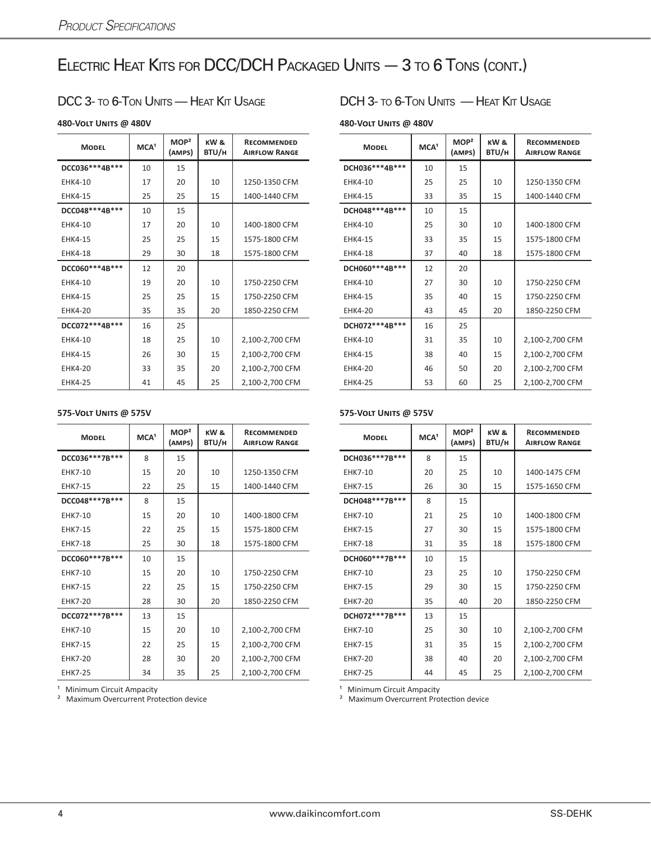## ELECTRIC HEAT KITS FOR DCC/DCH PACKAGED UNITS - 3 TO 6 TONS (CONT.)

| <b>MODEL</b>      | MCA <sup>1</sup> | MOP <sup>2</sup><br>(AMPS) | KW&<br>BTU/H | <b>RECOMMENDED</b><br><b>AIRFLOW RANGE</b> | <b>MODEL</b>      | MCA <sup>1</sup> | MOP <sup>2</sup><br>(AMPS) | KW &<br>BTU/H | <b>RECOMMENDED</b><br><b>AIRFLOW RANGE</b> |
|-------------------|------------------|----------------------------|--------------|--------------------------------------------|-------------------|------------------|----------------------------|---------------|--------------------------------------------|
| DCC036***4B***    | 10               | 15                         |              |                                            | DCH036 *** 4B *** | 10               | 15                         |               |                                            |
| EHK4-10           | 17               | 20                         | 10           | 1250-1350 CFM                              | <b>EHK4-10</b>    | 25               | 25                         | 10            | 1250-1350 CFM                              |
| <b>EHK4-15</b>    | 25               | 25                         | 15           | 1400-1440 CFM                              | <b>EHK4-15</b>    | 33               | 35                         | 15            | 1400-1440 CFM                              |
| DCC048***4B***    | 10               | 15                         |              |                                            | DCH048 *** 4B *** | 10               | 15                         |               |                                            |
| EHK4-10           | 17               | 20                         | 10           | 1400-1800 CFM                              | EHK4-10           | 25               | 30                         | 10            | 1400-1800 CFM                              |
| EHK4-15           | 25               | 25                         | 15           | 1575-1800 CFM                              | <b>EHK4-15</b>    | 33               | 35                         | 15            | 1575-1800 CFM                              |
| EHK4-18           | 29               | 30                         | 18           | 1575-1800 CFM                              | <b>EHK4-18</b>    | 37               | 40                         | 18            | 1575-1800 CFM                              |
| DCC060***4B***    | 12               | 20                         |              |                                            | DCH060***4B***    | 12               | 20                         |               |                                            |
| EHK4-10           | 19               | 20                         | 10           | 1750-2250 CFM                              | <b>EHK4-10</b>    | 27               | 30                         | 10            | 1750-2250 CFM                              |
| <b>EHK4-15</b>    | 25               | 25                         | 15           | 1750-2250 CFM                              | EHK4-15           | 35               | 40                         | 15            | 1750-2250 CFM                              |
| <b>EHK4-20</b>    | 35               | 35                         | 20           | 1850-2250 CFM                              | <b>EHK4-20</b>    | 43               | 45                         | 20            | 1850-2250 CFM                              |
| DCC072 *** 4B *** | 16               | 25                         |              |                                            | DCH072 *** 4B *** | 16               | 25                         |               |                                            |
| EHK4-10           | 18               | 25                         | 10           | 2,100-2,700 CFM                            | <b>EHK4-10</b>    | 31               | 35                         | 10            | 2,100-2,700 CFM                            |
| <b>EHK4-15</b>    | 26               | 30                         | 15           | 2,100-2,700 CFM                            | EHK4-15           | 38               | 40                         | 15            | 2,100-2,700 CFM                            |
| <b>EHK4-20</b>    | 33               | 35                         | 20           | 2,100-2,700 CFM                            | <b>EHK4-20</b>    | 46               | 50                         | 20            | 2,100-2,700 CFM                            |
| <b>EHK4-25</b>    | 41               | 45                         | 25           | 2,100-2,700 CFM                            | <b>EHK4-25</b>    | 53               | 60                         | 25            | 2,100-2,700 CFM                            |

### DCC 3- TO 6-TON UNITS — HEAT KIT USAGE DCH 3- TO 6-TON UNITS — HEAT KIT USAGE

**480-Volt Units @ 480V 480-Volt Units @ 480V**

| RECOMMENDED<br><b>AIRFLOW RANGE</b> | <b>MODEL</b>      | MCA <sup>1</sup> | MOP <sup>2</sup><br>(AMPS) | KW &<br>BTU/H | <b>RECOMMENDED</b><br><b>AIRFLOW RANGE</b> |
|-------------------------------------|-------------------|------------------|----------------------------|---------------|--------------------------------------------|
|                                     | DCH036 *** 4B *** | 10               | 15                         |               |                                            |
| 1250-1350 CFM                       | <b>EHK4-10</b>    | 25               | 25                         | 10            | 1250-1350 CFM                              |
| 1400-1440 CFM                       | <b>EHK4-15</b>    | 33               | 35                         | 15            | 1400-1440 CFM                              |
|                                     | DCH048 *** 4B *** | 10               | 15                         |               |                                            |
| 1400-1800 CFM                       | <b>EHK4-10</b>    | 25               | 30                         | 10            | 1400-1800 CFM                              |
| 1575-1800 CFM                       | <b>EHK4-15</b>    | 33               | 35                         | 15            | 1575-1800 CFM                              |
| 1575-1800 CFM                       | <b>EHK4-18</b>    | 37               | 40                         | 18            | 1575-1800 CFM                              |
|                                     | DCH060***4B***    | 12               | 20                         |               |                                            |
| 1750-2250 CFM                       | EHK4-10           | 27               | 30                         | 10            | 1750-2250 CFM                              |
| 1750-2250 CFM                       | <b>EHK4-15</b>    | 35               | 40                         | 15            | 1750-2250 CFM                              |
| 1850-2250 CFM                       | <b>EHK4-20</b>    | 43               | 45                         | 20            | 1850-2250 CFM                              |
|                                     | DCH072 *** 4B *** | 16               | 25                         |               |                                            |
| 2,100-2,700 CFM                     | <b>EHK4-10</b>    | 31               | 35                         | 10            | 2,100-2,700 CFM                            |
| 2,100-2,700 CFM                     | <b>EHK4-15</b>    | 38               | 40                         | 15            | 2,100-2,700 CFM                            |
| 2,100-2,700 CFM                     | <b>EHK4-20</b>    | 46               | 50                         | 20            | 2,100-2,700 CFM                            |
| 2,100-2,700 CFM                     | <b>EHK4-25</b>    | 53               | 60                         | 25            | 2,100-2,700 CFM                            |

### **575-Volt Units @ 575V 575-Volt Units @ 575V**

| <b>MODEL</b>      | MCA <sup>1</sup> | MOP <sup>2</sup><br>(AMPS) | KW&<br>BTU/H | <b>RECOMMENDED</b><br><b>AIRFLOW RANGE</b> | <b>MODEL</b>      | MCA <sup>1</sup> | MOP <sup>2</sup><br>(AMPS) | KW&<br>BTU/H | <b>RECOMMENDED</b><br><b>AIRFLOW RANGE</b> |
|-------------------|------------------|----------------------------|--------------|--------------------------------------------|-------------------|------------------|----------------------------|--------------|--------------------------------------------|
| DCC036***7B***    | 8                | 15                         |              |                                            | DCH036***7B***    | 8                | 15                         |              |                                            |
| <b>EHK7-10</b>    | 15               | 20                         | 10           | 1250-1350 CFM                              | <b>EHK7-10</b>    | 20               | 25                         | 10           | 1400-1475 CFM                              |
| <b>EHK7-15</b>    | 22               | 25                         | 15           | 1400-1440 CFM                              | <b>EHK7-15</b>    | 26               | 30                         | 15           | 1575-1650 CFM                              |
| DCC048***7B***    | 8                | 15                         |              |                                            | DCH048***7B***    | 8                | 15                         |              |                                            |
| EHK7-10           | 15               | 20                         | 10           | 1400-1800 CFM                              | <b>EHK7-10</b>    | 21               | 25                         | 10           | 1400-1800 CFM                              |
| <b>EHK7-15</b>    | 22               | 25                         | 15           | 1575-1800 CFM                              | <b>EHK7-15</b>    | 27               | 30                         | 15           | 1575-1800 CFM                              |
| <b>EHK7-18</b>    | 25               | 30                         | 18           | 1575-1800 CFM                              | <b>EHK7-18</b>    | 31               | 35                         | 18           | 1575-1800 CFM                              |
| DCC060***7B***    | 10               | 15                         |              |                                            | DCH060***7B***    | 10               | 15                         |              |                                            |
| EHK7-10           | 15               | 20                         | 10           | 1750-2250 CFM                              | <b>EHK7-10</b>    | 23               | 25                         | 10           | 1750-2250 CFM                              |
| <b>EHK7-15</b>    | 22               | 25                         | 15           | 1750-2250 CFM                              | <b>EHK7-15</b>    | 29               | 30                         | 15           | 1750-2250 CFM                              |
| <b>EHK7-20</b>    | 28               | 30                         | 20           | 1850-2250 CFM                              | <b>EHK7-20</b>    | 35               | 40                         | 20           | 1850-2250 CFM                              |
| DCC072 *** 7B *** | 13               | 15                         |              |                                            | DCH072 *** 7B *** | 13               | 15                         |              |                                            |
| EHK7-10           | 15               | 20                         | 10           | 2,100-2,700 CFM                            | <b>EHK7-10</b>    | 25               | 30                         | 10           | 2,100-2,700 CFM                            |
| <b>EHK7-15</b>    | 22               | 25                         | 15           | 2,100-2,700 CFM                            | <b>EHK7-15</b>    | 31               | 35                         | 15           | 2,100-2,700 CFM                            |
| <b>EHK7-20</b>    | 28               | 30                         | 20           | 2,100-2,700 CFM                            | <b>EHK7-20</b>    | 38               | 40                         | 20           | 2,100-2,700 CFM                            |
| <b>EHK7-25</b>    | 34               | 35                         | 25           | 2,100-2,700 CFM                            | <b>EHK7-25</b>    | 44               | 45                         | 25           | 2,100-2,700 CFM                            |

<sup>1</sup> Minimum Circuit Ampacity **2** Minimum Circuit Ampacity **2** Maximum Overcurrent Protection device **Ampacity Maximum Overcurrent Protection device Maximum** Overcurrent Protection device **Ampacity Maximum** Overcurren

| RECOMMENDED<br><b>AIRFLOW RANGE</b> | <b>MODEL</b>      | MCA <sup>1</sup> | MOP <sup>2</sup><br>(AMPS) | KW &<br>BTU/H | <b>RECOMMENDED</b><br><b>AIRFLOW RANGE</b> |
|-------------------------------------|-------------------|------------------|----------------------------|---------------|--------------------------------------------|
|                                     | DCH036***7B***    | 8                | 15                         |               |                                            |
| 1250-1350 CFM                       | <b>EHK7-10</b>    | 20               | 25                         | 10            | 1400-1475 CFM                              |
| 1400-1440 CFM                       | <b>EHK7-15</b>    | 26               | 30                         | 15            | 1575-1650 CFM                              |
|                                     | DCH048***7B***    | 8                | 15                         |               |                                            |
| 1400-1800 CFM                       | <b>EHK7-10</b>    | 21               | 25                         | 10            | 1400-1800 CFM                              |
| 1575-1800 CFM                       | <b>EHK7-15</b>    | 27               | 30                         | 15            | 1575-1800 CFM                              |
| 1575-1800 CFM                       | <b>EHK7-18</b>    | 31               | 35                         | 18            | 1575-1800 CFM                              |
|                                     | DCH060***7B***    | 10               | 15                         |               |                                            |
| 1750-2250 CFM                       | <b>EHK7-10</b>    | 23               | 25                         | 10            | 1750-2250 CFM                              |
| 1750-2250 CFM                       | <b>EHK7-15</b>    | 29               | 30                         | 15            | 1750-2250 CFM                              |
| 1850-2250 CFM                       | <b>EHK7-20</b>    | 35               | 40                         | 20            | 1850-2250 CFM                              |
|                                     | DCH072 *** 7B *** | 13               | 15                         |               |                                            |
| 2,100-2,700 CFM                     | <b>EHK7-10</b>    | 25               | 30                         | 10            | 2,100-2,700 CFM                            |
| 2,100-2,700 CFM                     | <b>EHK7-15</b>    | 31               | 35                         | 15            | 2,100-2,700 CFM                            |
| 2,100-2,700 CFM                     | <b>EHK7-20</b>    | 38               | 40                         | 20            | 2,100-2,700 CFM                            |
| 2,100-2,700 CFM                     | <b>EHK7-25</b>    | 44               | 45                         | 25            | 2,100-2,700 CFM                            |

² Maximum Overcurrent Protection device ² Maximum Overcurrent Protection device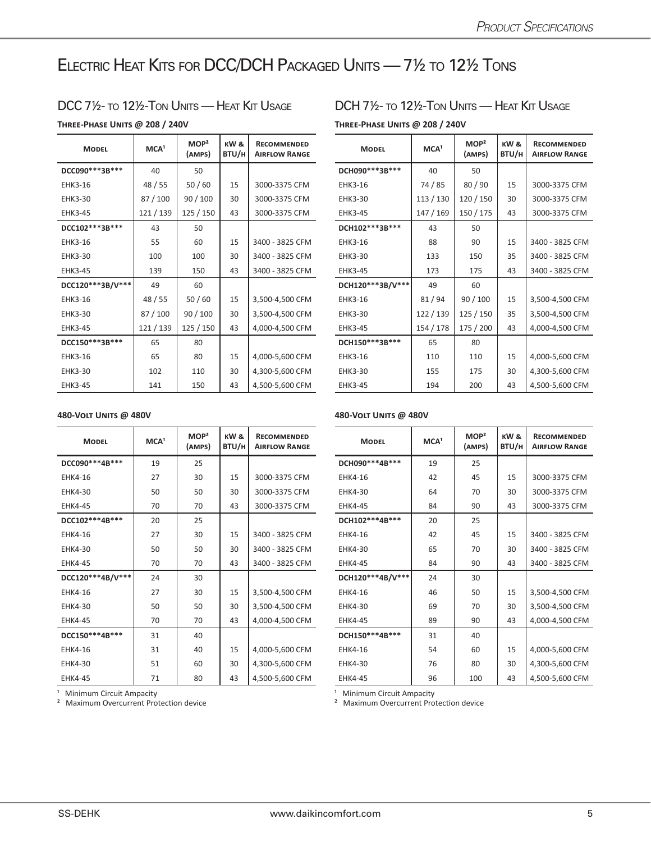## Electric Heat Kits for DCC/DCH Packaged Units — 7½ to 12½ Tons

**Three-Phase Units @ 208 / 240V Three-Phase Units @ 208 / 240V**

| <b>MODEL</b>      | MCA <sup>1</sup> | MOP <sup>2</sup><br>(AMPS) | KW &<br>BTU/H | <b>RECOMMENDED</b><br><b>AIRFLOW RANGE</b> | <b>MODEL</b>     | MCA <sup>1</sup> | MOP <sup>2</sup><br>(AMPS) | KW&<br>BTU/H | <b>RECOMMENDED</b><br><b>AIRFLOW RANGE</b> |
|-------------------|------------------|----------------------------|---------------|--------------------------------------------|------------------|------------------|----------------------------|--------------|--------------------------------------------|
| DCC090 *** 3B *** | 40               | 50                         |               |                                            | DCH090***3B***   | 40               | 50                         |              |                                            |
| EHK3-16           | 48 / 55          | 50/60                      | 15            | 3000-3375 CFM                              | EHK3-16          | 74/85            | 80/90                      | 15           | 3000-3375 CFM                              |
| <b>EHK3-30</b>    | 87/100           | 90/100                     | 30            | 3000-3375 CFM                              | <b>EHK3-30</b>   | 113/130          | 120 / 150                  | 30           | 3000-3375 CFM                              |
| <b>EHK3-45</b>    | 121/139          | 125 / 150                  | 43            | 3000-3375 CFM                              | <b>EHK3-45</b>   | 147 / 169        | 150/175                    | 43           | 3000-3375 CFM                              |
| DCC102***3B***    | 43               | 50                         |               |                                            | DCH102***3B***   | 43               | 50                         |              |                                            |
| <b>EHK3-16</b>    | 55               | 60                         | 15            | 3400 - 3825 CFM                            | EHK3-16          | 88               | 90                         | 15           | 3400 - 3825 CFM                            |
| <b>EHK3-30</b>    | 100              | 100                        | 30            | 3400 - 3825 CFM                            | <b>EHK3-30</b>   | 133              | 150                        | 35           | 3400 - 3825 CFM                            |
| <b>EHK3-45</b>    | 139              | 150                        | 43            | 3400 - 3825 CFM                            | <b>EHK3-45</b>   | 173              | 175                        | 43           | 3400 - 3825 CFM                            |
| DCC120***3B/V***  | 49               | 60                         |               |                                            | DCH120***3B/V*** | 49               | 60                         |              |                                            |
| <b>EHK3-16</b>    | 48/55            | 50/60                      | 15            | 3,500-4,500 CFM                            | EHK3-16          | 81/94            | 90/100                     | 15           | 3,500-4,500 CFM                            |
| <b>EHK3-30</b>    | 87 / 100         | 90/100                     | 30            | 3,500-4,500 CFM                            | EHK3-30          | 122 / 139        | 125 / 150                  | 35           | 3,500-4,500 CFM                            |
| <b>EHK3-45</b>    | 121/139          | 125/150                    | 43            | 4,000-4,500 CFM                            | EHK3-45          | 154 / 178        | 175 / 200                  | 43           | 4,000-4,500 CFM                            |
| DCC150***3B***    | 65               | 80                         |               |                                            | DCH150***3B***   | 65               | 80                         |              |                                            |
| <b>EHK3-16</b>    | 65               | 80                         | 15            | 4,000-5,600 CFM                            | EHK3-16          | 110              | 110                        | 15           | 4,000-5,600 CFM                            |
| <b>EHK3-30</b>    | 102              | 110                        | 30            | 4,300-5,600 CFM                            | <b>EHK3-30</b>   | 155              | 175                        | 30           | 4,300-5,600 CFM                            |
| <b>EHK3-45</b>    | 141              | 150                        | 43            | 4,500-5,600 CFM                            | <b>EHK3-45</b>   | 194              | 200                        | 43           | 4,500-5,600 CFM                            |

DCC 71/2- TO 121/2-TON UNITS — HEAT KIT USAGE DCH 71/2- TO 121/2-TON UNITS — HEAT KIT USAGE

| <b>RECOMMENDED</b><br><b>AIRFLOW RANGE</b> | <b>MODEL</b>     | MCA <sup>1</sup> | MOP <sup>2</sup><br>(AMPS) | KW&<br>BTU/H | <b>RECOMMENDED</b><br><b>AIRFLOW RANGE</b> |
|--------------------------------------------|------------------|------------------|----------------------------|--------------|--------------------------------------------|
|                                            | DCH090***3B***   | 40               | 50                         |              |                                            |
| 3000-3375 CFM                              | <b>EHK3-16</b>   | 74 / 85          | 80/90                      | 15           | 3000-3375 CFM                              |
| 3000-3375 CFM                              | EHK3-30          | 113 / 130        | 120 / 150                  | 30           | 3000-3375 CFM                              |
| 3000-3375 CFM                              | <b>EHK3-45</b>   | 147 / 169        | 150 / 175                  | 43           | 3000-3375 CFM                              |
|                                            | DCH102***3B***   | 43               | 50                         |              |                                            |
| 3400 - 3825 CFM                            | <b>EHK3-16</b>   | 88               | 90                         | 15           | 3400 - 3825 CFM                            |
| 3400 - 3825 CFM                            | <b>EHK3-30</b>   | 133              | 150                        | 35           | 3400 - 3825 CFM                            |
| 3400 - 3825 CFM                            | <b>EHK3-45</b>   | 173              | 175                        | 43           | 3400 - 3825 CFM                            |
|                                            | DCH120***3B/V*** | 49               | 60                         |              |                                            |
| 3,500-4,500 CFM                            | EHK3-16          | 81/94            | 90/100                     | 15           | 3,500-4,500 CFM                            |
| 3,500-4,500 CFM                            | EHK3-30          | 122 / 139        | 125 / 150                  | 35           | 3,500-4,500 CFM                            |
| 1,000-4,500 CFM                            | <b>EHK3-45</b>   | 154 / 178        | 175 / 200                  | 43           | 4,000-4,500 CFM                            |
|                                            | DCH150***3B***   | 65               | 80                         |              |                                            |
| 1,000-5,600 CFM                            | <b>EHK3-16</b>   | 110              | 110                        | 15           | 4,000-5,600 CFM                            |
| 1,300-5,600 CFM                            | <b>EHK3-30</b>   | 155              | 175                        | 30           | 4,300-5,600 CFM                            |
| 1,500-5,600 CFM                            | <b>EHK3-45</b>   | 194              | 200                        | 43           | 4,500-5,600 CFM                            |

### **480-Volt Units @ 480V 480-Volt Units @ 480V**

| <b>MODEL</b>      | MCA <sup>1</sup> | MOP <sup>2</sup><br>(AMPS) | KW&<br>BTU/H | <b>RECOMMENDED</b><br><b>AIRFLOW RANGE</b> | <b>MODEL</b>      | MCA <sup>1</sup> | MOP <sup>2</sup><br>(AMPS) | KW&<br>BTU/H | <b>RECOMMENDED</b><br><b>AIRFLOW RANGE</b> |
|-------------------|------------------|----------------------------|--------------|--------------------------------------------|-------------------|------------------|----------------------------|--------------|--------------------------------------------|
| DCC090 *** 4B *** | 19               | 25                         |              |                                            | DCH090 *** 4B *** | 19               | 25                         |              |                                            |
| EHK4-16           | 27               | 30                         | 15           | 3000-3375 CFM                              | EHK4-16           | 42               | 45                         | 15           | 3000-3375 CFM                              |
| <b>EHK4-30</b>    | 50               | 50                         | 30           | 3000-3375 CFM                              | <b>EHK4-30</b>    | 64               | 70                         | 30           | 3000-3375 CFM                              |
| <b>EHK4-45</b>    | 70               | 70                         | 43           | 3000-3375 CFM                              | <b>EHK4-45</b>    | 84               | 90                         | 43           | 3000-3375 CFM                              |
| DCC102***4B***    | 20               | 25                         |              |                                            | DCH102 *** 4B *** | 20               | 25                         |              |                                            |
| <b>EHK4-16</b>    | 27               | 30                         | 15           | 3400 - 3825 CFM                            | EHK4-16           | 42               | 45                         | 15           | 3400 - 3825 CFM                            |
| <b>EHK4-30</b>    | 50               | 50                         | 30           | 3400 - 3825 CFM                            | EHK4-30           | 65               | 70                         | 30           | 3400 - 3825 CFM                            |
| <b>EHK4-45</b>    | 70               | 70                         | 43           | 3400 - 3825 CFM                            | <b>EHK4-45</b>    | 84               | 90                         | 43           | 3400 - 3825 CFM                            |
| DCC120***4B/V***  | 24               | 30                         |              |                                            | DCH120***4B/V***  | 24               | 30                         |              |                                            |
| <b>EHK4-16</b>    | 27               | 30                         | 15           | 3,500-4,500 CFM                            | EHK4-16           | 46               | 50                         | 15           | 3,500-4,500 CFM                            |
| <b>EHK4-30</b>    | 50               | 50                         | 30           | 3,500-4,500 CFM                            | EHK4-30           | 69               | 70                         | 30           | 3,500-4,500 CFM                            |
| <b>EHK4-45</b>    | 70               | 70                         | 43           | 4,000-4,500 CFM                            | <b>EHK4-45</b>    | 89               | 90                         | 43           | 4,000-4,500 CFM                            |
| DCC150***4B***    | 31               | 40                         |              |                                            | DCH150***4B***    | 31               | 40                         |              |                                            |
| <b>EHK4-16</b>    | 31               | 40                         | 15           | 4,000-5,600 CFM                            | EHK4-16           | 54               | 60                         | 15           | 4,000-5,600 CFM                            |
| <b>EHK4-30</b>    | 51               | 60                         | 30           | 4,300-5,600 CFM                            | EHK4-30           | 76               | 80                         | 30           | 4,300-5,600 CFM                            |
| <b>EHK4-45</b>    | 71               | 80                         | 43           | 4,500-5,600 CFM                            | <b>EHK4-45</b>    | 96               | 100                        | 43           | 4,500-5,600 CFM                            |

| <b>RECOMMENDED</b><br><b>AIRFLOW RANGE</b> | <b>MODEL</b>     | MCA <sup>1</sup> | MOP <sup>2</sup><br>(AMPS) | KW&<br>BTU/H | <b>RECOMMENDED</b><br><b>AIRFLOW RANGE</b> |
|--------------------------------------------|------------------|------------------|----------------------------|--------------|--------------------------------------------|
|                                            | DCH090***4B***   | 19               | 25                         |              |                                            |
| 3000-3375 CFM                              | <b>EHK4-16</b>   | 42               | 45                         | 15           | 3000-3375 CFM                              |
| 3000-3375 CFM                              | <b>EHK4-30</b>   | 64               | 70                         | 30           | 3000-3375 CFM                              |
| 3000-3375 CFM                              | <b>EHK4-45</b>   | 84               | 90                         | 43           | 3000-3375 CFM                              |
|                                            | DCH102***4B***   | 20               | 25                         |              |                                            |
| 3400 - 3825 CFM                            | <b>EHK4-16</b>   | 42               | 45                         | 15           | 3400 - 3825 CFM                            |
| 3400 - 3825 CFM                            | <b>EHK4-30</b>   | 65               | 70                         | 30           | 3400 - 3825 CFM                            |
| 3400 - 3825 CFM                            | <b>EHK4-45</b>   | 84               | 90                         | 43           | 3400 - 3825 CFM                            |
|                                            | DCH120***4B/V*** | 24               | 30                         |              |                                            |
| 3,500-4,500 CFM                            | <b>EHK4-16</b>   | 46               | 50                         | 15           | 3,500-4,500 CFM                            |
| 3,500-4,500 CFM                            | <b>EHK4-30</b>   | 69               | 70                         | 30           | 3,500-4,500 CFM                            |
| 1,000-4,500 CFM                            | <b>EHK4-45</b>   | 89               | 90                         | 43           | 4,000-4,500 CFM                            |
|                                            | DCH150***4B***   | 31               | 40                         |              |                                            |
| 1,000-5,600 CFM                            | <b>EHK4-16</b>   | 54               | 60                         | 15           | 4,000-5,600 CFM                            |
| 1,300-5,600 CFM                            | <b>EHK4-30</b>   | 76               | 80                         | 30           | 4,300-5,600 CFM                            |
| 1,500-5,600 CFM                            | <b>EHK4-45</b>   | 96               | 100                        | 43           | 4,500-5,600 CFM                            |
|                                            |                  |                  |                            |              |                                            |

a Minimum Circuit Ampacity<br>
<sup>2</sup> Maximum Overcurrent Protection device<br>
<sup>2</sup> Maximum Overcurrent Protection device<br>
<sup>2</sup> Maximum Overcurrent Protection device

² Maximum Overcurrent Protection device ² Maximum Overcurrent Protection device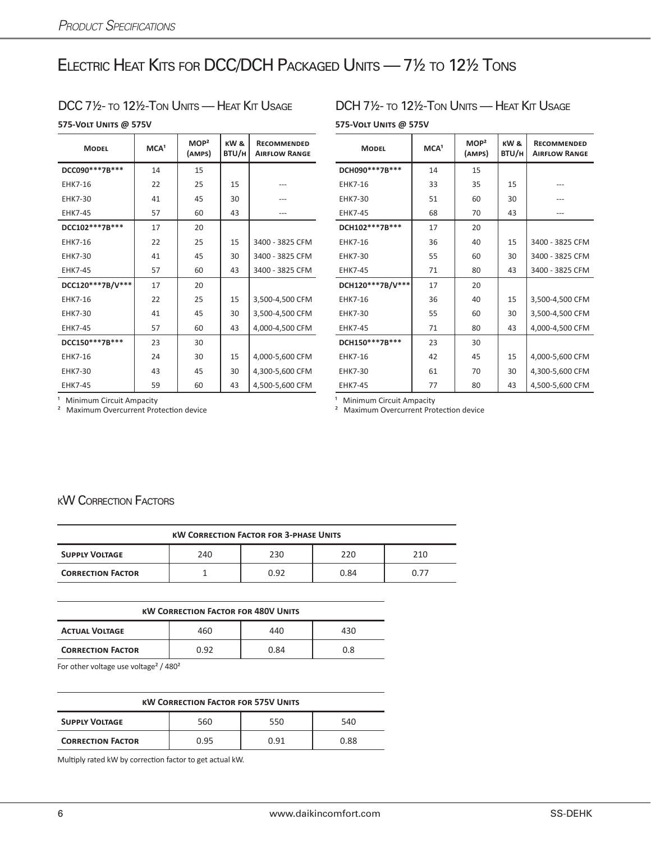## Electric Heat Kits for DCC/DCH Packaged Units — 7½ to 12½ Tons

### DCC 7<sup>1</sup>/2- to 12<sup>1</sup>/2-Ton Units — Heat Kit Usage DCH 7<sup>1</sup>/2- to 12<sup>1</sup>/2-Ton Units — Heat Kit Usage

### **575-Volt Units @ 575V 575-Volt Units @ 575V**

| <b>MODEL</b>      | MCA <sup>1</sup> | MOP <sup>2</sup><br>(AMPS) | KW&<br>BTU/H | <b>RECOMMENDED</b><br><b>AIRFLOW RANGE</b> | <b>MODEL</b>     | MCA <sup>1</sup> | MOP <sup>2</sup><br>(AMPS) | KW&<br>BTU/H | <b>RECOMMENDED</b><br><b>AIRFLOW RANGE</b> |
|-------------------|------------------|----------------------------|--------------|--------------------------------------------|------------------|------------------|----------------------------|--------------|--------------------------------------------|
| DCC090 *** 7B *** | 14               | 15                         |              |                                            | DCH090***7B***   | 14               | 15                         |              |                                            |
| <b>EHK7-16</b>    | 22               | 25                         | 15           |                                            | EHK7-16          | 33               | 35                         | 15           |                                            |
| <b>EHK7-30</b>    | 41               | 45                         | 30           |                                            | <b>EHK7-30</b>   | 51               | 60                         | 30           |                                            |
| <b>EHK7-45</b>    | 57               | 60                         | 43           | ---                                        | <b>EHK7-45</b>   | 68               | 70                         | 43           | ---                                        |
| DCC102***7B***    | 17               | 20                         |              |                                            | DCH102***7B***   | 17               | 20                         |              |                                            |
| EHK7-16           | 22               | 25                         | 15           | 3400 - 3825 CFM                            | EHK7-16          | 36               | 40                         | 15           | 3400 - 3825 CFM                            |
| <b>EHK7-30</b>    | 41               | 45                         | 30           | 3400 - 3825 CFM                            | <b>EHK7-30</b>   | 55               | 60                         | 30           | 3400 - 3825 CFM                            |
| <b>EHK7-45</b>    | 57               | 60                         | 43           | 3400 - 3825 CFM                            | <b>EHK7-45</b>   | 71               | 80                         | 43           | 3400 - 3825 CFM                            |
| DCC120***7B/V***  | 17               | 20                         |              |                                            | DCH120***7B/V*** | 17               | 20                         |              |                                            |
| EHK7-16           | 22               | 25                         | 15           | 3,500-4,500 CFM                            | <b>EHK7-16</b>   | 36               | 40                         | 15           | 3,500-4,500 CFM                            |
| <b>EHK7-30</b>    | 41               | 45                         | 30           | 3,500-4,500 CFM                            | <b>EHK7-30</b>   | 55               | 60                         | 30           | 3,500-4,500 CFM                            |
| <b>EHK7-45</b>    | 57               | 60                         | 43           | 4,000-4,500 CFM                            | <b>EHK7-45</b>   | 71               | 80                         | 43           | 4,000-4,500 CFM                            |
| DCC150***7B***    | 23               | 30                         |              |                                            | DCH150***7B***   | 23               | 30                         |              |                                            |
| EHK7-16           | 24               | 30                         | 15           | 4,000-5,600 CFM                            | EHK7-16          | 42               | 45                         | 15           | 4,000-5,600 CFM                            |
| <b>EHK7-30</b>    | 43               | 45                         | 30           | 4,300-5,600 CFM                            | <b>EHK7-30</b>   | 61               | 70                         | 30           | 4,300-5,600 CFM                            |
| <b>EHK7-45</b>    | 59               | 60                         | 43           | 4,500-5,600 CFM                            | <b>EHK7-45</b>   | 77               | 80                         | 43           | 4,500-5,600 CFM                            |

| <b>MODEL</b>     | MCA <sup>1</sup> | MOP <sup>2</sup><br>(AMPS) | KW&<br>BTU/H | <b>RECOMMENDED</b><br><b>AIRFLOW RANGE</b> | <b>MODEL</b>     | MCA <sup>1</sup> | MOP <sup>2</sup><br>(AMPS) | KW&<br>BTU/H | <b>RECOMMENDED</b><br><b>AIRFLOW RANGE</b> |
|------------------|------------------|----------------------------|--------------|--------------------------------------------|------------------|------------------|----------------------------|--------------|--------------------------------------------|
| DCC090***7B***   | 14               | 15                         |              |                                            | DCH090***7B***   | 14               | 15                         |              |                                            |
| <b>EHK7-16</b>   | 22               | 25                         | 15           | $---$                                      | <b>EHK7-16</b>   | 33               | 35                         | 15           | ---                                        |
| <b>EHK7-30</b>   | 41               | 45                         | 30           | ---                                        | <b>EHK7-30</b>   | 51               | 60                         | 30           | ---                                        |
| <b>EHK7-45</b>   | 57               | 60                         | 43           | $---$                                      | <b>EHK7-45</b>   | 68               | 70                         | 43           | ---                                        |
| DCC102***7B***   | 17               | 20                         |              |                                            | DCH102***7B***   | 17               | 20                         |              |                                            |
| <b>EHK7-16</b>   | 22               | 25                         | 15           | 3400 - 3825 CFM                            | EHK7-16          | 36               | 40                         | 15           | 3400 - 3825 CFM                            |
| <b>EHK7-30</b>   | 41               | 45                         | 30           | 3400 - 3825 CFM                            | <b>EHK7-30</b>   | 55               | 60                         | 30           | 3400 - 3825 CFM                            |
| <b>EHK7-45</b>   | 57               | 60                         | 43           | 3400 - 3825 CFM                            | <b>EHK7-45</b>   | 71               | 80                         | 43           | 3400 - 3825 CFM                            |
| DCC120***7B/V*** | 17               | 20                         |              |                                            | DCH120***7B/V*** | 17               | 20                         |              |                                            |
| <b>EHK7-16</b>   | 22               | 25                         | 15           | 3,500-4,500 CFM                            | <b>EHK7-16</b>   | 36               | 40                         | 15           | 3,500-4,500 CFM                            |
| <b>EHK7-30</b>   | 41               | 45                         | 30           | 3,500-4,500 CFM                            | <b>EHK7-30</b>   | 55               | 60                         | 30           | 3,500-4,500 CFM                            |
| <b>EHK7-45</b>   | 57               | 60                         | 43           | 4,000-4,500 CFM                            | <b>EHK7-45</b>   | 71               | 80                         | 43           | 4,000-4,500 CFM                            |
| DCC150***7B***   | 23               | 30                         |              |                                            | DCH150***7B***   | 23               | 30                         |              |                                            |
| <b>EHK7-16</b>   | 24               | 30                         | 15           | 4,000-5,600 CFM                            | <b>EHK7-16</b>   | 42               | 45                         | 15           | 4,000-5,600 CFM                            |
| <b>EHK7-30</b>   | 43               | 45                         | 30           | 4,300-5,600 CFM                            | <b>EHK7-30</b>   | 61               | 70                         | 30           | 4,300-5,600 CFM                            |
| <b>EHK7-45</b>   | 59               | 60                         | 43           | 4,500-5,600 CFM                            | <b>EHK7-45</b>   | 77               | 80                         | 43           | 4,500-5,600 CFM                            |

<sup>1</sup> Minimum Circuit Ampacity **and Circuit Ampacity and Circuit Ampacity and Circuit Ampacity and Circuit Ampacity and Circuit Ampacity and Circuit Ampacity and Circuit Ampacity and Circuit Ampacity and Circ** 

<sup>2</sup> Maximum Overcurrent Protection device

### kW Correction Factors

| <b>KW CORRECTION FACTOR FOR 3-PHASE UNITS</b>     |  |      |      |      |  |  |  |  |  |
|---------------------------------------------------|--|------|------|------|--|--|--|--|--|
| 240<br><b>SUPPLY VOLTAGE</b><br>230<br>220<br>210 |  |      |      |      |  |  |  |  |  |
| <b>CORRECTION FACTOR</b>                          |  | 0.92 | 0.84 | በ 77 |  |  |  |  |  |

| <b>KW CORRECTION FACTOR FOR 480V UNITS</b>      |  |  |  |  |  |  |  |  |  |
|-------------------------------------------------|--|--|--|--|--|--|--|--|--|
| 440<br><b>ACTUAL VOLTAGE</b><br>460<br>430      |  |  |  |  |  |  |  |  |  |
| 0.84<br><b>CORRECTION FACTOR</b><br>በ.92<br>0.8 |  |  |  |  |  |  |  |  |  |

For other voltage use voltage<sup>2</sup> / 480<sup>2</sup>

| <b>KW CORRECTION FACTOR FOR 575V UNITS</b> |      |      |  |  |  |  |  |  |  |
|--------------------------------------------|------|------|--|--|--|--|--|--|--|
| 560<br><b>SUPPLY VOLTAGE</b><br>540<br>550 |      |      |  |  |  |  |  |  |  |
| <b>CORRECTION FACTOR</b>                   | በ 91 | 0.88 |  |  |  |  |  |  |  |

Multiply rated kW by correction factor to get actual kW.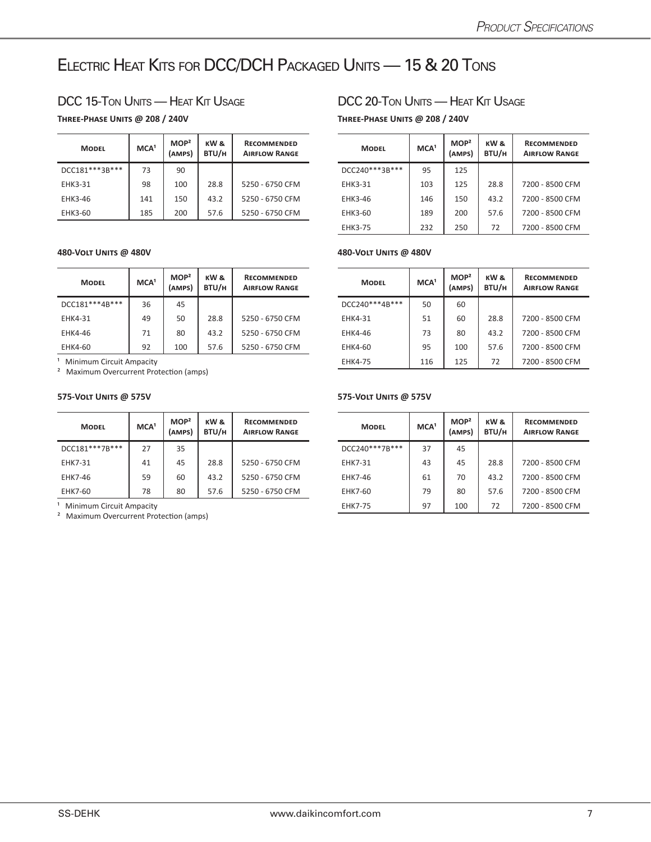## ELECTRIC HEAT KITS FOR DCC/DCH PACKAGED UNITS - 15 & 20 TONS

### DCC 15-TON UNITS — HEAT KIT USAGE DCC 20-TON UNITS — HEAT KIT USAGE

### **Three-Phase Units @ 208 / 240V Three-Phase Units @ 208 / 240V**

| <b>MODEL</b>   | MCA <sup>1</sup> | MOP <sup>2</sup><br>(AMPS) | KW &<br>BTU/H | <b>RECOMMENDED</b><br><b>AIRFLOW RANGE</b> | <b>MODEL</b> |                | MCA <sup>1</sup> | MOP <sup>2</sup><br>(AMPS) | KW &<br>BTU/H | <b>RECOMMENDED</b><br><b>AIRFLOW RANGE</b> |
|----------------|------------------|----------------------------|---------------|--------------------------------------------|--------------|----------------|------------------|----------------------------|---------------|--------------------------------------------|
| DCC181***3B*** | 73               | 90                         |               |                                            |              | DCC240***3B*** | 95               | 125                        |               |                                            |
| <b>EHK3-31</b> | 98               | 100                        | 28.8          | 5250 - 6750 CFM                            |              | <b>EHK3-31</b> | 103              | 125                        | 28.8          | 7200 - 8500 CFM                            |
| EHK3-46        | 141              | 150                        | 43.2          | 5250 - 6750 CFM                            |              | <b>EHK3-46</b> | 146              | 150                        | 43.2          | 7200 - 8500 CFM                            |
| EHK3-60        | 185              | 200                        | 57.6          | 5250 - 6750 CFM                            |              | EHK3-60        | 189              | 200                        | 57.6          | 7200 - 8500 CFM                            |

### **480-Volt Units @ 480V 480-Volt Units @ 480V**

| <b>MODEL</b>   | MCA <sup>1</sup> | MOP <sup>2</sup><br>(AMPS) | KW&<br>BTU/H | <b>RECOMMENDED</b><br><b>AIRFLOW RANGE</b> |  | <b>MODEL</b>   |    | MOP <sup>2</sup><br>(AMPS) | KW &<br>BTU/H | <b>RECOMMENDED</b><br><b>AIRFLOW RANGE</b> |
|----------------|------------------|----------------------------|--------------|--------------------------------------------|--|----------------|----|----------------------------|---------------|--------------------------------------------|
| DCC181***4B*** | 36               | 45                         |              |                                            |  | DCC240***4B*** | 50 | 60                         |               |                                            |
| EHK4-31        | 49               | 50                         | 28.8         | 5250 - 6750 CFM                            |  | <b>EHK4-31</b> | 51 | 60                         | 28.8          | 7200 - 8500 CFM                            |
| EHK4-46        | 71               | 80                         | 43.2         | 5250 - 6750 CFM                            |  | <b>EHK4-46</b> | 73 | 80                         | 43.2          | 7200 - 8500 CFM                            |
| EHK4-60        | 92               | 100                        | 57.6         | 5250 - 6750 CFM                            |  | EHK4-60        | 95 | 100                        | 57.6          | 7200 - 8500 CFM                            |

<sup>1</sup> Minimum Circuit Ampacity

² Maximum Overcurrent Protection (amps)

### **575-Volt Units @ 575V 575-Volt Units @ 575V**

| <b>MODEL</b>   | MCA <sup>1</sup> | MOP <sup>2</sup><br>(AMPS) | KW&<br>BTU/H | <b>RECOMMENDED</b><br><b>AIRFLOW RANGE</b> | <b>MODEL</b> |                | MCA <sup>1</sup> | MOP <sup>2</sup><br>(AMPS) | KW &<br>BTU/H | <b>RECOMMENDED</b><br><b>AIRFLOW RANGE</b> |
|----------------|------------------|----------------------------|--------------|--------------------------------------------|--------------|----------------|------------------|----------------------------|---------------|--------------------------------------------|
| DCC181***7B*** | 27               | 35                         |              |                                            |              | DCC240***7B*** | 37               | 45                         |               |                                            |
| <b>EHK7-31</b> | 41               | 45                         | 28.8         | 5250 - 6750 CFM                            |              | <b>EHK7-31</b> | 43               | 45                         | 28.8          | 7200 - 8500 CFM                            |
| EHK7-46        | 59               | 60                         | 43.2         | 5250 - 6750 CFM                            |              | <b>EHK7-46</b> | 61               | 70                         | 43.2          | 7200 - 8500 CFM                            |
| EHK7-60        | 78               | 80                         | 57.6         | 5250 - 6750 CFM                            |              | <b>EHK7-60</b> | 79               | 80                         | 57.6          | 7200 - 8500 CFM                            |

<sup>1</sup> Minimum Circuit Ampacity

² Maximum Overcurrent Protection (amps)

| <b>RECOMMENDED</b><br><b>AIRFLOW RANGE</b> | <b>MODEL</b>   | MCA <sup>1</sup> | MOP <sup>2</sup><br>(AMPS) | KW &<br>BTU/H | <b>RECOMMENDED</b><br><b>AIRFLOW RANGE</b> |
|--------------------------------------------|----------------|------------------|----------------------------|---------------|--------------------------------------------|
|                                            | DCC240***3B*** | 95               | 125                        |               |                                            |
| 5250 - 6750 CFM                            | <b>EHK3-31</b> | 103              | 125                        | 28.8          | 7200 - 8500 CFM                            |
| 5250 - 6750 CFM                            | EHK3-46        | 146              | 150                        | 43.2          | 7200 - 8500 CFM                            |
| 5250 - 6750 CFM                            | EHK3-60        | 189              | 200                        | 57.6          | 7200 - 8500 CFM                            |
|                                            | <b>EHK3-75</b> | 232              | 250                        | 72            | 7200 - 8500 CFM                            |

| <b>RECOMMENDED</b><br><b>AIRFLOW RANGE</b> | <b>MODEL</b>      | MCA <sup>1</sup> | MOP <sup>2</sup><br>(AMPS) | KW &<br>BTU/H | <b>RECOMMENDED</b><br><b>AIRFLOW RANGE</b> |
|--------------------------------------------|-------------------|------------------|----------------------------|---------------|--------------------------------------------|
|                                            | DCC240 *** 4B *** | 50               | 60                         |               |                                            |
| 5250 - 6750 CFM                            | <b>EHK4-31</b>    | 51               | 60                         | 28.8          | 7200 - 8500 CFM                            |
| 5250 - 6750 CFM                            | <b>EHK4-46</b>    | 73               | 80                         | 43.2          | 7200 - 8500 CFM                            |
| 5250 - 6750 CFM                            | EHK4-60           | 95               | 100                        | 57.6          | 7200 - 8500 CFM                            |
|                                            | <b>EHK4-75</b>    | 116              | 125                        | 72            | 7200 - 8500 CFM                            |

| <b>RECOMMENDED</b><br><b>AIRFLOW RANGE</b> | <b>MODEL</b>   | MCA <sup>1</sup> | MOP <sup>2</sup><br>(AMPS) | KW &<br>BTU/H | <b>RECOMMENDED</b><br><b>AIRFLOW RANGE</b> |
|--------------------------------------------|----------------|------------------|----------------------------|---------------|--------------------------------------------|
|                                            | DCC240***7B*** | 37               | 45                         |               |                                            |
| 5250 - 6750 CFM                            | <b>EHK7-31</b> | 43               | 45                         | 28.8          | 7200 - 8500 CFM                            |
| 5250 - 6750 CFM                            | <b>EHK7-46</b> | 61               | 70                         | 43.2          | 7200 - 8500 CFM                            |
| 5250 - 6750 CFM                            | <b>EHK7-60</b> | 79               | 80                         | 57.6          | 7200 - 8500 CFM                            |
|                                            | <b>EHK7-75</b> | 97               | 100                        | 72            | 7200 - 8500 CFM                            |
|                                            |                |                  |                            |               |                                            |